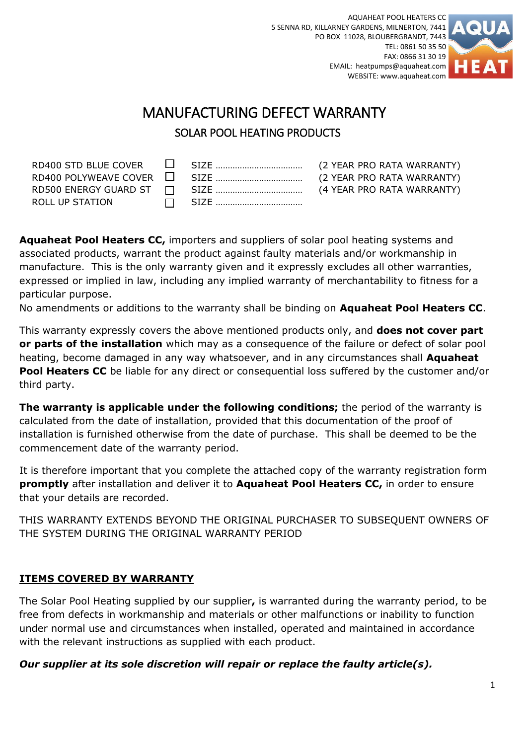AQUAHEAT POOL HEATERS CC 5 SENNA RD, KILLARNEY GARDENS, MILNERTON, 7441 PO BOX 11028, BLOUBERGRANDT, 7443 TEL: 0861 50 35 50 FAX: 0866 31 30 19 EMAIL: heatpumps@aquaheat.com WEBSITE: www.aquaheat.com



# MANUFACTURING DEFECT WARRANTY SOLAR POOL HEATING PRODUCTS

| ROLL UP STATION |  |  |
|-----------------|--|--|
|                 |  |  |

**Aquaheat Pool Heaters CC,** importers and suppliers of solar pool heating systems and associated products, warrant the product against faulty materials and/or workmanship in manufacture. This is the only warranty given and it expressly excludes all other warranties, expressed or implied in law, including any implied warranty of merchantability to fitness for a particular purpose.

No amendments or additions to the warranty shall be binding on **Aquaheat Pool Heaters CC**.

This warranty expressly covers the above mentioned products only, and **does not cover part or parts of the installation** which may as a consequence of the failure or defect of solar pool heating, become damaged in any way whatsoever, and in any circumstances shall **Aquaheat Pool Heaters CC** be liable for any direct or consequential loss suffered by the customer and/or third party.

**The warranty is applicable under the following conditions;** the period of the warranty is calculated from the date of installation, provided that this documentation of the proof of installation is furnished otherwise from the date of purchase. This shall be deemed to be the commencement date of the warranty period.

It is therefore important that you complete the attached copy of the warranty registration form **promptly** after installation and deliver it to **Aquaheat Pool Heaters CC,** in order to ensure that your details are recorded.

THIS WARRANTY EXTENDS BEYOND THE ORIGINAL PURCHASER TO SUBSEQUENT OWNERS OF THE SYSTEM DURING THE ORIGINAL WARRANTY PERIOD

### **ITEMS COVERED BY WARRANTY**

The Solar Pool Heating supplied by our supplier**,** is warranted during the warranty period, to be free from defects in workmanship and materials or other malfunctions or inability to function under normal use and circumstances when installed, operated and maintained in accordance with the relevant instructions as supplied with each product.

### *Our supplier at its sole discretion will repair or replace the faulty article(s).*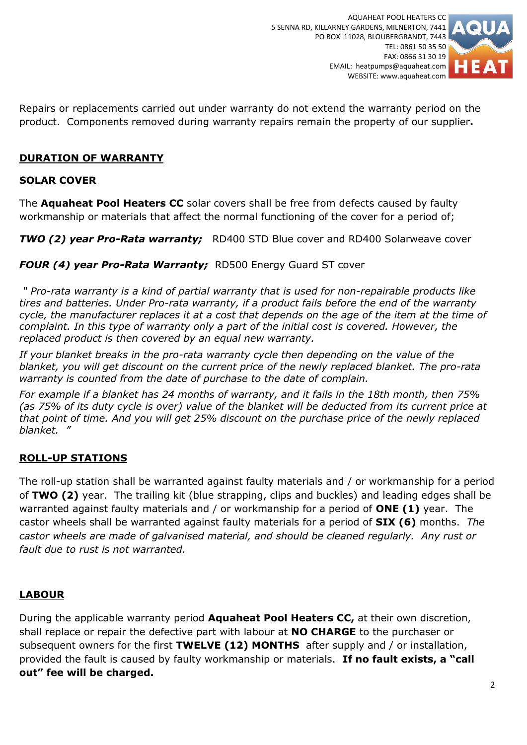

Repairs or replacements carried out under warranty do not extend the warranty period on the product. Components removed during warranty repairs remain the property of our supplier**.**

#### **DURATION OF WARRANTY**

#### **SOLAR COVER**

The **Aquaheat Pool Heaters CC** solar covers shall be free from defects caused by faulty workmanship or materials that affect the normal functioning of the cover for a period of;

*TWO (2) year Pro-Rata warranty;* RD400 STD Blue cover and RD400 Solarweave cover

*FOUR (4) year Pro-Rata Warranty;* RD500 Energy Guard ST cover

*" Pro-rata warranty is a kind of partial warranty that is used for non-repairable products like tires and batteries. Under Pro-rata warranty, if a product fails before the end of the warranty cycle, the manufacturer replaces it at a cost that depends on the age of the item at the time of complaint. In this type of warranty only a part of the initial cost is covered. However, the replaced product is then covered by an equal new warranty.*

*If your blanket breaks in the pro-rata warranty cycle then depending on the value of the blanket, you will get discount on the current price of the newly replaced blanket. The pro-rata warranty is counted from the date of purchase to the date of complain.*

*For example if a blanket has 24 months of warranty, and it fails in the 18th month, then 75% (as 75% of its duty cycle is over) value of the blanket will be deducted from its current price at that point of time. And you will get 25% discount on the purchase price of the newly replaced blanket. "*

### **ROLL-UP STATIONS**

The roll-up station shall be warranted against faulty materials and / or workmanship for a period of **TWO (2)** year. The trailing kit (blue strapping, clips and buckles) and leading edges shall be warranted against faulty materials and / or workmanship for a period of **ONE (1)** year. The castor wheels shall be warranted against faulty materials for a period of **SIX (6)** months. *The castor wheels are made of galvanised material, and should be cleaned regularly. Any rust or fault due to rust is not warranted.* 

### **LABOUR**

During the applicable warranty period **Aquaheat Pool Heaters CC,** at their own discretion, shall replace or repair the defective part with labour at **NO CHARGE** to the purchaser or subsequent owners for the first **TWELVE (12) MONTHS** after supply and / or installation, provided the fault is caused by faulty workmanship or materials. **If no fault exists, a "call out" fee will be charged.**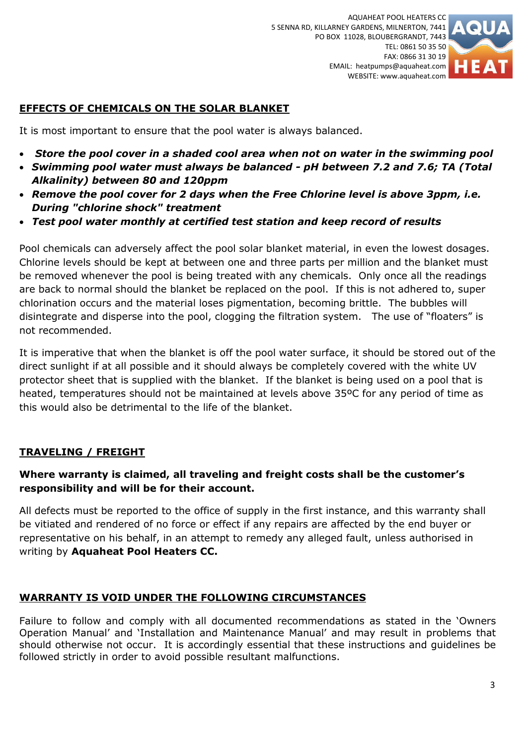

## **EFFECTS OF CHEMICALS ON THE SOLAR BLANKET**

It is most important to ensure that the pool water is always balanced.

- *Store the pool cover in a shaded cool area when not on water in the swimming pool*
- *Swimming pool water must always be balanced - pH between 7.2 and 7.6; TA (Total Alkalinity) between 80 and 120ppm*
- *Remove the pool cover for 2 days when the Free Chlorine level is above 3ppm, i.e. During "chlorine shock" treatment*
- *Test pool water monthly at certified test station and keep record of results*

Pool chemicals can adversely affect the pool solar blanket material, in even the lowest dosages. Chlorine levels should be kept at between one and three parts per million and the blanket must be removed whenever the pool is being treated with any chemicals. Only once all the readings are back to normal should the blanket be replaced on the pool. If this is not adhered to, super chlorination occurs and the material loses pigmentation, becoming brittle. The bubbles will disintegrate and disperse into the pool, clogging the filtration system. The use of "floaters" is not recommended.

It is imperative that when the blanket is off the pool water surface, it should be stored out of the direct sunlight if at all possible and it should always be completely covered with the white UV protector sheet that is supplied with the blanket. If the blanket is being used on a pool that is heated, temperatures should not be maintained at levels above 35ºC for any period of time as this would also be detrimental to the life of the blanket.

## **TRAVELING / FREIGHT**

## **Where warranty is claimed, all traveling and freight costs shall be the customer's responsibility and will be for their account.**

All defects must be reported to the office of supply in the first instance, and this warranty shall be vitiated and rendered of no force or effect if any repairs are affected by the end buyer or representative on his behalf, in an attempt to remedy any alleged fault, unless authorised in writing by **Aquaheat Pool Heaters CC.**

## **WARRANTY IS VOID UNDER THE FOLLOWING CIRCUMSTANCES**

Failure to follow and comply with all documented recommendations as stated in the 'Owners Operation Manual' and 'Installation and Maintenance Manual' and may result in problems that should otherwise not occur. It is accordingly essential that these instructions and guidelines be followed strictly in order to avoid possible resultant malfunctions.